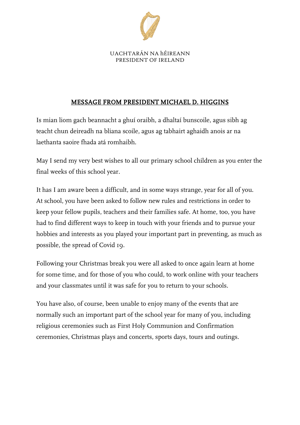

UACHTARÁN NA hÉIREANN PRESIDENT OF IRELAND

## MESSAGE FROM PRESIDENT MICHAEL D. HIGGINS

Is mian liom gach beannacht a ghuí oraibh, a dhaltaí bunscoile, agus sibh ag teacht chun deireadh na bliana scoile, agus ag tabhairt aghaidh anois ar na laethanta saoire fhada atá romhaibh.

May I send my very best wishes to all our primary school children as you enter the final weeks of this school year.

It has I am aware been a difficult, and in some ways strange, year for all of you. At school, you have been asked to follow new rules and restrictions in order to keep your fellow pupils, teachers and their families safe. At home, too, you have had to find different ways to keep in touch with your friends and to pursue your hobbies and interests as you played your important part in preventing, as much as possible, the spread of Covid 19.

Following your Christmas break you were all asked to once again learn at home for some time, and for those of you who could, to work online with your teachers and your classmates until it was safe for you to return to your schools.

You have also, of course, been unable to enjoy many of the events that are normally such an important part of the school year for many of you, including religious ceremonies such as First Holy Communion and Confirmation ceremonies, Christmas plays and concerts, sports days, tours and outings.